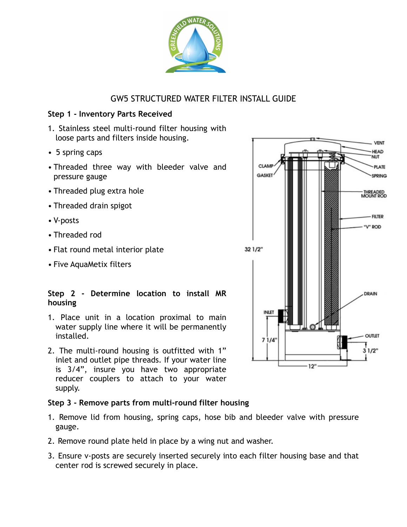

# GW5 STRUCTURED WATER FILTER INSTALL GUIDE

## **Step 1 - Inventory Parts Received**

- 1. Stainless steel multi-round filter housing with loose parts and filters inside housing.
- 5 spring caps
- Threaded three way with bleeder valve and pressure gauge
- Threaded plug extra hole
- Threaded drain spigot
- V-posts
- Threaded rod
- Flat round metal interior plate
- Five AquaMetix filters

## **Step 2 - Determine location to install MR housing**

- 1. Place unit in a location proximal to main water supply line where it will be permanently installed.
- 2. The multi-round housing is outfitted with 1" inlet and outlet pipe threads. If your water line is 3/4", insure you have two appropriate reducer couplers to attach to your water supply.

# **Step 3 - Remove parts from multi-round filter housing**

- 1. Remove lid from housing, spring caps, hose bib and bleeder valve with pressure gauge.
- 2. Remove round plate held in place by a wing nut and washer.
- 3. Ensure v-posts are securely inserted securely into each filter housing base and that center rod is screwed securely in place.

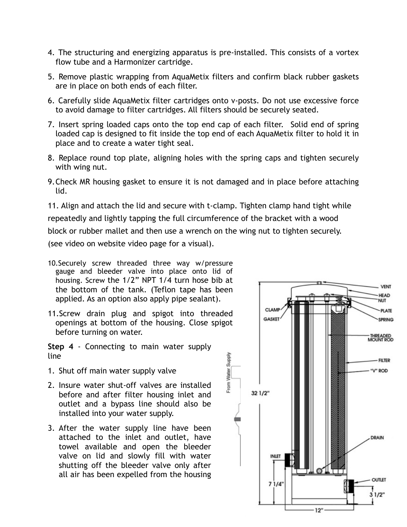- 4. The structuring and energizing apparatus is pre-installed. This consists of a vortex flow tube and a Harmonizer cartridge.
- 5. Remove plastic wrapping from AquaMetix filters and confirm black rubber gaskets are in place on both ends of each filter.
- 6. Carefully slide AquaMetix filter cartridges onto v-posts. Do not use excessive force to avoid damage to filter cartridges. All filters should be securely seated.
- 7. Insert spring loaded caps onto the top end cap of each filter. Solid end of spring loaded cap is designed to fit inside the top end of each AquaMetix filter to hold it in place and to create a water tight seal.
- 8. Replace round top plate, aligning holes with the spring caps and tighten securely with wing nut.
- 9.Check MR housing gasket to ensure it is not damaged and in place before attaching lid.

11. Align and attach the lid and secure with t-clamp. Tighten clamp hand tight while repeatedly and lightly tapping the full circumference of the bracket with a wood block or rubber mallet and then use a wrench on the wing nut to tighten securely.

From Water Supply

(see video on website video page for a visual).

- 10.Securely screw threaded three way w/pressure gauge and bleeder valve into place onto lid of housing. Screw the 1/2" NPT 1/4 turn hose bib at the bottom of the tank. (Teflon tape has been applied. As an option also apply pipe sealant).
- 11.Screw drain plug and spigot into threaded openings at bottom of the housing. Close spigot before turning on water.
- **Step 4** Connecting to main water supply line
- 1. Shut off main water supply valve
- 2. Insure water shut-off valves are installed before and after filter housing inlet and outlet and a bypass line should also be installed into your water supply.
- 3. After the water supply line have been attached to the inlet and outlet, have towel available and open the bleeder valve on lid and slowly fill with water shutting off the bleeder valve only after all air has been expelled from the housing

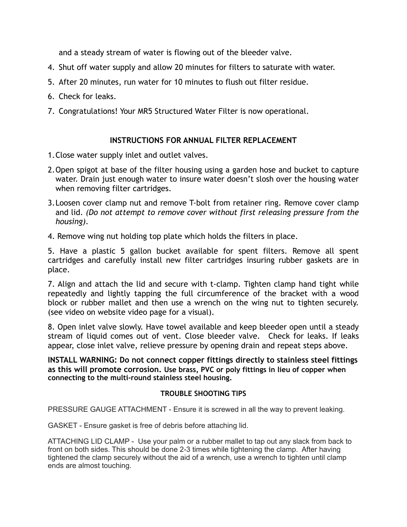and a steady stream of water is flowing out of the bleeder valve.

- 4. Shut off water supply and allow 20 minutes for filters to saturate with water.
- 5. After 20 minutes, run water for 10 minutes to flush out filter residue.
- 6. Check for leaks.
- 7. Congratulations! Your MR5 Structured Water Filter is now operational.

## **INSTRUCTIONS FOR ANNUAL FILTER REPLACEMENT**

- 1.Close water supply inlet and outlet valves.
- 2.Open spigot at base of the filter housing using a garden hose and bucket to capture water. Drain just enough water to insure water doesn't slosh over the housing water when removing filter cartridges.
- 3.Loosen cover clamp nut and remove T-bolt from retainer ring. Remove cover clamp and lid. *(Do not attempt to remove cover without first releasing pressure from the housing)*.
- 4. Remove wing nut holding top plate which holds the filters in place.

5. Have a plastic 5 gallon bucket available for spent filters. Remove all spent cartridges and carefully install new filter cartridges insuring rubber gaskets are in place.

7. Align and attach the lid and secure with t-clamp. Tighten clamp hand tight while repeatedly and lightly tapping the full circumference of the bracket with a wood block or rubber mallet and then use a wrench on the wing nut to tighten securely. (see video on website video page for a visual).

8. Open inlet valve slowly. Have towel available and keep bleeder open until a steady stream of liquid comes out of vent. Close bleeder valve. Check for leaks. If leaks appear, close inlet valve, relieve pressure by opening drain and repeat steps above.

**INSTALL WARNING: Do not connect copper fittings directly to stainless steel fittings as this will promote corrosion. Use brass, PVC or poly fittings in lieu of copper when connecting to the multi-round stainless steel housing.** 

# **TROUBLE SHOOTING TIPS**

PRESSURE GAUGE ATTACHMENT - Ensure it is screwed in all the way to prevent leaking.

GASKET - Ensure gasket is free of debris before attaching lid.

ATTACHING LID CLAMP - Use your palm or a rubber mallet to tap out any slack from back to front on both sides. This should be done 2-3 times while tightening the clamp. After having tightened the clamp securely without the aid of a wrench, use a wrench to tighten until clamp ends are almost touching.